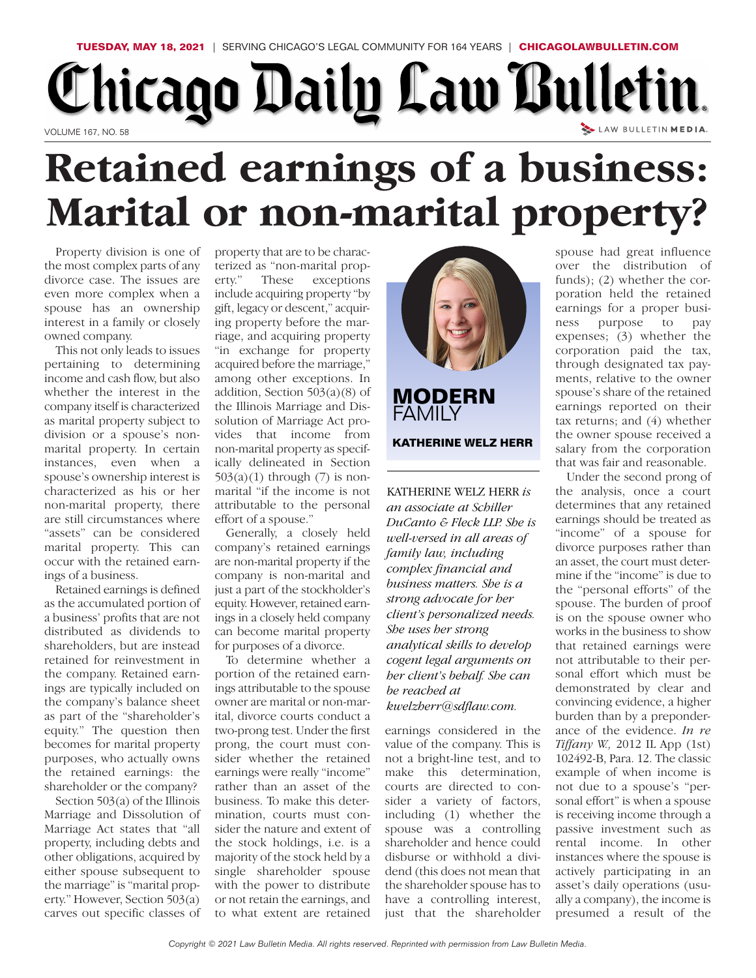## **TUESDAY, MAY 18, 2021** | SERVING CHICAGO'S LEGAL COMMUNITY FOR 164 YEARS | **CHICAGOLAWBULLETIN.COM** Chicago Daily Law Bulletin. LAW BULLETIN MEDIA. VOLUME 167, NO. 58

## **Retained earnings of a business: Marital or non-marital property?**

Property division is one of the most complex parts of any divorce case. The issues are even more complex when a spouse has an ownership interest in a family or closely owned company.

This not only leads to issues pertaining to determining income and cash flow, but also whether the interest in the company itself is characterized as marital property subject to division or a spouse's nonmarital property. In certain instances, even when a spouse's ownership interest is characterized as his or her non-marital property, there are still circumstances where "assets" can be considered marital property. This can occur with the retained earnings of a business.

Retained earnings is defined as the accumulated portion of a business' profits that are not distributed as dividends to shareholders, but are instead retained for reinvestment in the company. Retained earnings are typically included on the company's balance sheet as part of the "shareholder's equity." The question then becomes for marital property purposes, who actually owns the retained earnings: the shareholder or the company?

Section 503(a) of the Illinois Marriage and Dissolution of Marriage Act states that "all property, including debts and other obligations, acquired by either spouse subsequent to the marriage" is "marital property." However, Section 503(a) carves out specific classes of

property that are to be characterized as "non-marital prop-<br>erty." These exceptions erty." These exceptions include acquiring property "by gift, legacy or descent," acquiring property before the marriage, and acquiring property "in exchange for property acquired before the marriage," among other exceptions. In addition, Section  $503(a)(8)$  of the Illinois Marriage and Dissolution of Marriage Act provides that income from non-marital property as specifically delineated in Section  $503(a)(1)$  through  $(7)$  is nonmarital "if the income is not attributable to the personal effort of a spouse."

Generally, a closely held company's retained earnings are non-marital property if the company is non-marital and just a part of the stockholder's equity. However, retained earnings in a closely held company can become marital property for purposes of a divorce.

To determine whether a portion of the retained earnings attributable to the spouse owner are marital or non-marital, divorce courts conduct a two-prong test. Under the first prong, the court must consider whether the retained earnings were really "income" rather than an asset of the business. To make this determination, courts must consider the nature and extent of the stock holdings, i.e. is a majority of the stock held by a single shareholder spouse with the power to distribute or not retain the earnings, and to what extent are retained



**MODERN FAMILY KATHERINE WELZ HERR**

KATHERINE WELZ HERR *is an associate at Schiller DuCanto & Fleck LLP. She is well-versed in all areas of family law, including complex financial and business matters. She is a strong advocate for her client's personalized needs. She uses her strong analytical skills to develop cogent legal arguments on her client's behalf. She can be reached at kwelzher r@sdflaw.com.*

earnings considered in the value of the company. This is not a bright-line test, and to make this determination, courts are directed to consider a variety of factors, including (1) whether the spouse was a controlling shareholder and hence could disburse or withhold a dividend (this does not mean that the shareholder spouse has to have a controlling interest, just that the shareholder

spouse had great influence over the distribution of funds); (2) whether the corporation held the retained earnings for a proper business purpose to pay expenses; (3) whether the corporation paid the tax, through designated tax payments, relative to the owner spouse's share of the retained earnings reported on their tax returns; and (4) whether the owner spouse received a salary from the corporation that was fair and reasonable.

Under the second prong of the analysis, once a court determines that any retained earnings should be treated as "income" of a spouse for divorce purposes rather than an asset, the court must determine if the "income" is due to the "personal efforts" of the spouse. The burden of proof is on the spouse owner who works in the business to show that retained earnings were not attributable to their personal effort which must be demonstrated by clear and convincing evidence, a higher burden than by a preponderance of the evidence. *In re Tiffany W.,* 2012 IL App (1st) 102492-B, Para. 12. The classic example of when income is not due to a spouse's "personal effort" is when a spouse is receiving income through a passive investment such as rental income. In other instances where the spouse is actively participating in an asset's daily operations (usually a company), the income is presumed a result of the